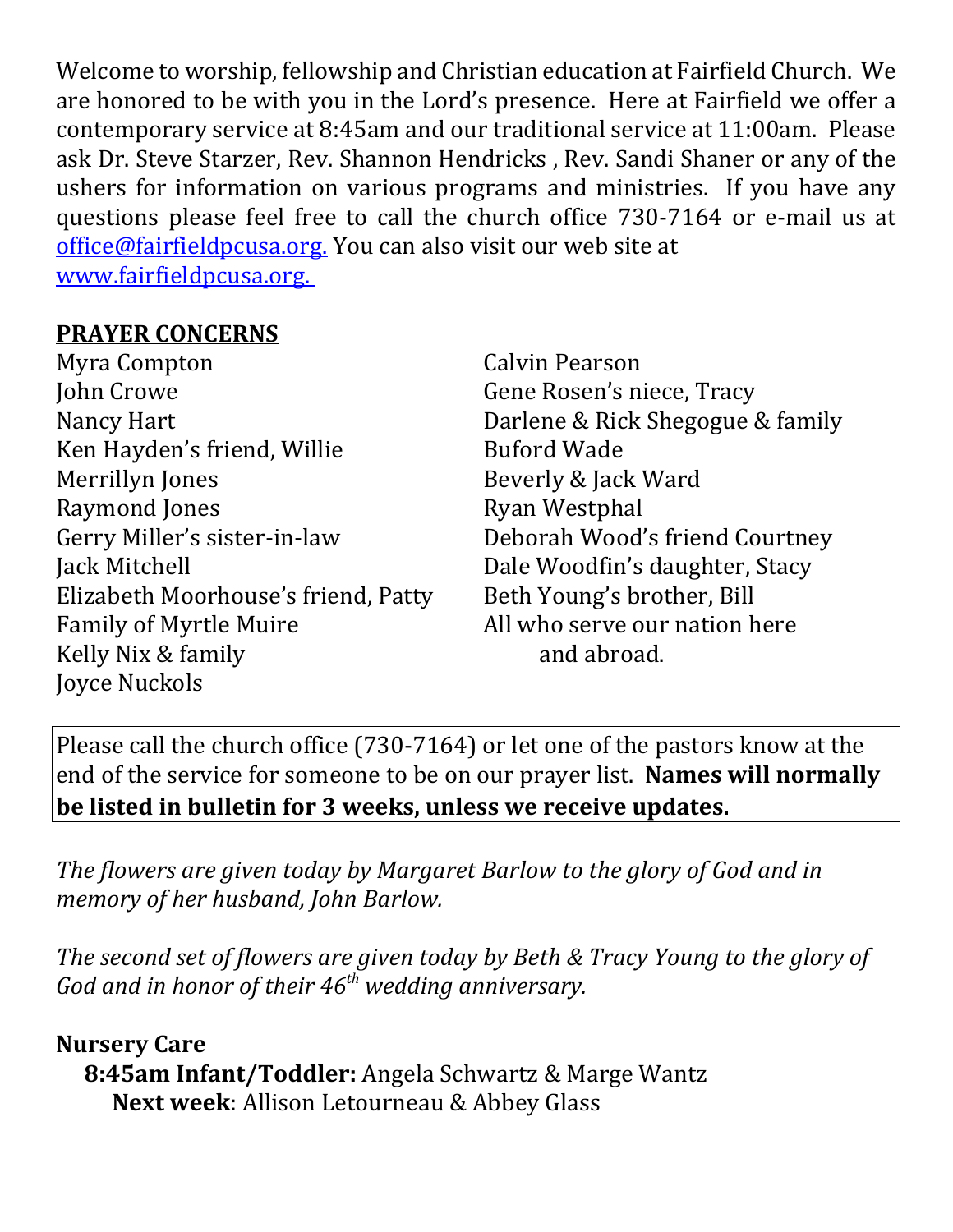Welcome to worship, fellowship and Christian education at Fairfield Church. We are honored to be with you in the Lord's presence. Here at Fairfield we offer a contemporary service at 8:45am and our traditional service at 11:00am. Please ask Dr. Steve Starzer, Rev. Shannon Hendricks , Rev. Sandi Shaner or any of the ushers for information on various programs and ministries. If you have any questions please feel free to call the church office 730-7164 or e-mail us at office@fairfieldpcusa.org. You can also visit our web site at www.fairfieldpcusa.org.

## **PRAYER CONCERNS**

Myra Compton John Crowe Nancy Hart Ken Hayden's friend, Willie Merrillyn Jones Raymond Jones Gerry Miller's sister-in-law Jack Mitchell Elizabeth Moorhouse's friend, Patty Family of Myrtle Muire Kelly Nix & family Joyce Nuckols

Calvin Pearson Gene Rosen's niece, Tracy Darlene & Rick Shegogue & family Buford Wade Beverly & Jack Ward Ryan Westphal Deborah Wood's friend Courtney Dale Woodfin's daughter, Stacy Beth Young's brother, Bill All who serve our nation here and abroad.

Please call the church office (730-7164) or let one of the pastors know at the end of the service for someone to be on our prayer list. **Names will normally be listed in bulletin for 3 weeks, unless we receive updates.**

*The flowers are given today by Margaret Barlow to the glory of God and in memory of her husband, John Barlow.*

*The second set of flowers are given today by Beth & Tracy Young to the glory of God and in honor of their 46th wedding anniversary.*

## **Nursery Care**

**8:45am Infant/Toddler:** Angela Schwartz & Marge Wantz **Next week**: Allison Letourneau & Abbey Glass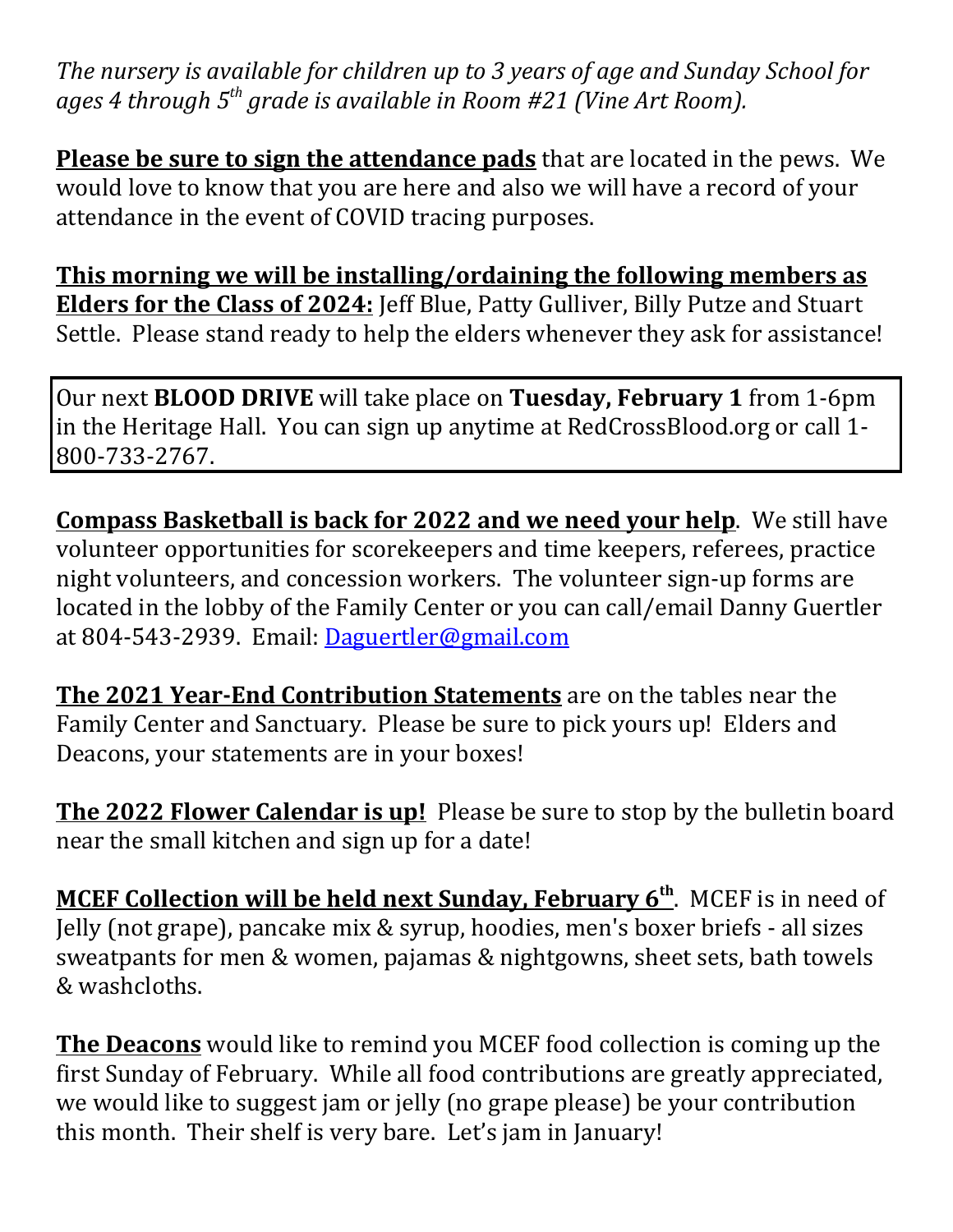*The nursery is available for children up to 3 years of age and Sunday School for ages 4 through 5th grade is available in Room #21 (Vine Art Room).*

**Please be sure to sign the attendance pads** that are located in the pews. We would love to know that you are here and also we will have a record of your attendance in the event of COVID tracing purposes.

**This morning we will be installing/ordaining the following members as Elders for the Class of 2024:** Jeff Blue, Patty Gulliver, Billy Putze and Stuart Settle. Please stand ready to help the elders whenever they ask for assistance!

Our next **BLOOD DRIVE** will take place on **Tuesday, February 1** from 1-6pm in the Heritage Hall. You can sign up anytime at RedCrossBlood.org or call 1- 800-733-2767.

**Compass Basketball is back for 2022 and we need your help**. We still have volunteer opportunities for scorekeepers and time keepers, referees, practice night volunteers, and concession workers. The volunteer sign-up forms are located in the lobby of the Family Center or you can call/email Danny Guertler at 804-543-2939. Email: Daguertler@gmail.com

**The 2021 Year‐End Contribution Statements** are on the tables near the Family Center and Sanctuary. Please be sure to pick yours up! Elders and Deacons, your statements are in your boxes!

**The 2022 Flower Calendar is up!** Please be sure to stop by the bulletin board near the small kitchen and sign up for a date!

**MCEF Collection will be held next Sunday, February 6th**. MCEF is in need of Jelly (not grape), pancake mix & syrup, hoodies, men's boxer briefs - all sizes sweatpants for men & women, pajamas & nightgowns, sheet sets, bath towels & washcloths.

**The Deacons** would like to remind you MCEF food collection is coming up the first Sunday of February. While all food contributions are greatly appreciated, we would like to suggest jam or jelly (no grape please) be your contribution this month. Their shelf is very bare. Let's jam in January!